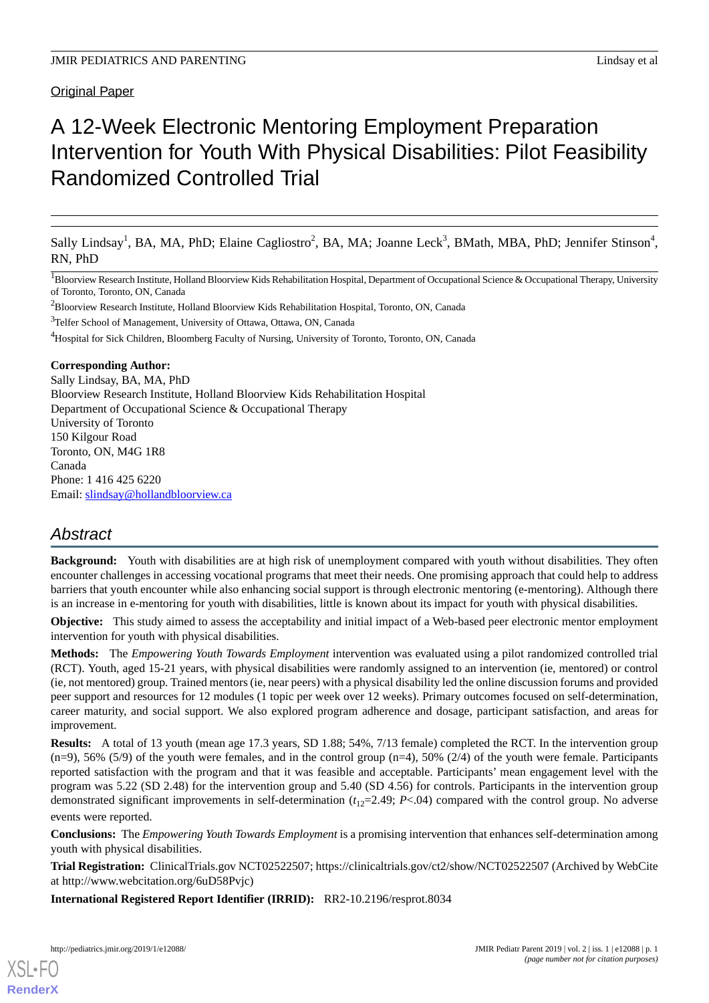Original Paper

# A 12-Week Electronic Mentoring Employment Preparation Intervention for Youth With Physical Disabilities: Pilot Feasibility Randomized Controlled Trial

Sally Lindsay<sup>1</sup>, BA, MA, PhD; Elaine Cagliostro<sup>2</sup>, BA, MA; Joanne Leck<sup>3</sup>, BMath, MBA, PhD; Jennifer Stinson<sup>4</sup>, RN, PhD

<sup>1</sup>Bloorview Research Institute, Holland Bloorview Kids Rehabilitation Hospital, Department of Occupational Science & Occupational Therapy, University of Toronto, Toronto, ON, Canada

<sup>2</sup>Bloorview Research Institute, Holland Bloorview Kids Rehabilitation Hospital, Toronto, ON, Canada

<sup>3</sup>Telfer School of Management, University of Ottawa, Ottawa, ON, Canada

<sup>4</sup>Hospital for Sick Children, Bloomberg Faculty of Nursing, University of Toronto, Toronto, ON, Canada

## **Corresponding Author:**

Sally Lindsay, BA, MA, PhD Bloorview Research Institute, Holland Bloorview Kids Rehabilitation Hospital Department of Occupational Science & Occupational Therapy University of Toronto 150 Kilgour Road Toronto, ON, M4G 1R8 Canada Phone: 1 416 425 6220 Email: [slindsay@hollandbloorview.ca](mailto:slindsay@hollandbloorview.ca)

# *Abstract*

**Background:** Youth with disabilities are at high risk of unemployment compared with youth without disabilities. They often encounter challenges in accessing vocational programs that meet their needs. One promising approach that could help to address barriers that youth encounter while also enhancing social support is through electronic mentoring (e-mentoring). Although there is an increase in e-mentoring for youth with disabilities, little is known about its impact for youth with physical disabilities.

**Objective:** This study aimed to assess the acceptability and initial impact of a Web-based peer electronic mentor employment intervention for youth with physical disabilities.

**Methods:** The *Empowering Youth Towards Employment* intervention was evaluated using a pilot randomized controlled trial (RCT). Youth, aged 15-21 years, with physical disabilities were randomly assigned to an intervention (ie, mentored) or control (ie, not mentored) group. Trained mentors (ie, near peers) with a physical disability led the online discussion forums and provided peer support and resources for 12 modules (1 topic per week over 12 weeks). Primary outcomes focused on self-determination, career maturity, and social support. We also explored program adherence and dosage, participant satisfaction, and areas for improvement.

**Results:** A total of 13 youth (mean age 17.3 years, SD 1.88; 54%, 7/13 female) completed the RCT. In the intervention group  $(n=9)$ , 56% (5/9) of the youth were females, and in the control group  $(n=4)$ , 50% (2/4) of the youth were female. Participants reported satisfaction with the program and that it was feasible and acceptable. Participants' mean engagement level with the program was 5.22 (SD 2.48) for the intervention group and 5.40 (SD 4.56) for controls. Participants in the intervention group demonstrated significant improvements in self-determination  $(t_{12}=2.49; P<.04)$  compared with the control group. No adverse events were reported.

**Conclusions:** The *Empowering Youth Towards Employment* is a promising intervention that enhances self-determination among youth with physical disabilities.

**Trial Registration:** ClinicalTrials.gov NCT02522507; https://clinicaltrials.gov/ct2/show/NCT02522507 (Archived by WebCite at http://www.webcitation.org/6uD58Pvjc)

**International Registered Report Identifier (IRRID):** RR2-10.2196/resprot.8034

[XSL](http://www.w3.org/Style/XSL)•FO **[RenderX](http://www.renderx.com/)**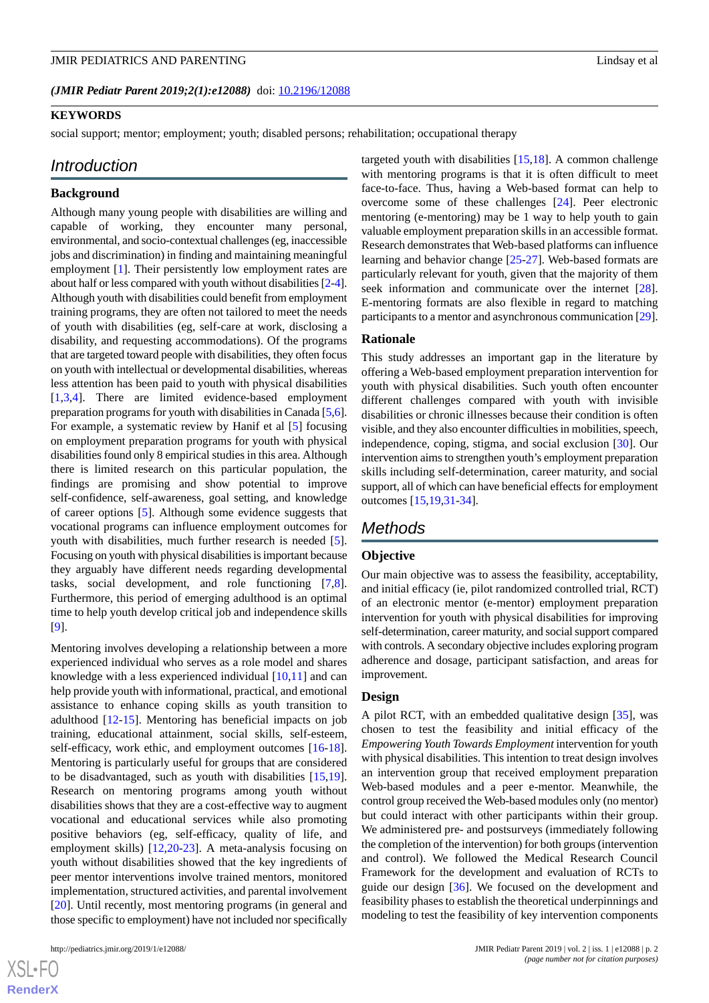(JMIR Pediatr Parent 2019;2(1):e12088) doi: [10.2196/12088](http://dx.doi.org/10.2196/12088)

# **KEYWORDS**

social support; mentor; employment; youth; disabled persons; rehabilitation; occupational therapy

# *Introduction*

## **Background**

Although many young people with disabilities are willing and capable of working, they encounter many personal, environmental, and socio-contextual challenges (eg, inaccessible jobs and discrimination) in finding and maintaining meaningful employment [[1\]](#page-8-0). Their persistently low employment rates are about half or less compared with youth without disabilities [\[2-](#page-9-0)[4\]](#page-9-1). Although youth with disabilities could benefit from employment training programs, they are often not tailored to meet the needs of youth with disabilities (eg, self-care at work, disclosing a disability, and requesting accommodations). Of the programs that are targeted toward people with disabilities, they often focus on youth with intellectual or developmental disabilities, whereas less attention has been paid to youth with physical disabilities [[1](#page-8-0)[,3](#page-9-2),[4\]](#page-9-1). There are limited evidence-based employment preparation programs for youth with disabilities in Canada [[5,](#page-9-3)[6\]](#page-9-4). For example, a systematic review by Hanif et al [[5\]](#page-9-3) focusing on employment preparation programs for youth with physical disabilities found only 8 empirical studies in this area. Although there is limited research on this particular population, the findings are promising and show potential to improve self-confidence, self-awareness, goal setting, and knowledge of career options [\[5](#page-9-3)]. Although some evidence suggests that vocational programs can influence employment outcomes for youth with disabilities, much further research is needed [[5\]](#page-9-3). Focusing on youth with physical disabilities is important because they arguably have different needs regarding developmental tasks, social development, and role functioning [\[7](#page-9-5),[8\]](#page-9-6). Furthermore, this period of emerging adulthood is an optimal time to help youth develop critical job and independence skills [[9\]](#page-9-7).

Mentoring involves developing a relationship between a more experienced individual who serves as a role model and shares knowledge with a less experienced individual [[10](#page-9-8)[,11](#page-9-9)] and can help provide youth with informational, practical, and emotional assistance to enhance coping skills as youth transition to adulthood [[12](#page-9-10)[-15](#page-9-11)]. Mentoring has beneficial impacts on job training, educational attainment, social skills, self-esteem, self-efficacy, work ethic, and employment outcomes [\[16](#page-9-12)-[18\]](#page-9-13). Mentoring is particularly useful for groups that are considered to be disadvantaged, such as youth with disabilities [\[15](#page-9-11),[19\]](#page-9-14). Research on mentoring programs among youth without disabilities shows that they are a cost-effective way to augment vocational and educational services while also promoting positive behaviors (eg, self-efficacy, quality of life, and employment skills) [[12](#page-9-10)[,20](#page-9-15)-[23\]](#page-9-16). A meta-analysis focusing on youth without disabilities showed that the key ingredients of peer mentor interventions involve trained mentors, monitored implementation, structured activities, and parental involvement [[20\]](#page-9-15). Until recently, most mentoring programs (in general and those specific to employment) have not included nor specifically

 $XS$ -FO **[RenderX](http://www.renderx.com/)** targeted youth with disabilities [[15](#page-9-11)[,18](#page-9-13)]. A common challenge with mentoring programs is that it is often difficult to meet face-to-face. Thus, having a Web-based format can help to overcome some of these challenges [[24\]](#page-9-17). Peer electronic mentoring (e-mentoring) may be 1 way to help youth to gain valuable employment preparation skills in an accessible format. Research demonstrates that Web-based platforms can influence learning and behavior change [\[25](#page-10-0)-[27\]](#page-10-1). Web-based formats are particularly relevant for youth, given that the majority of them seek information and communicate over the internet [[28\]](#page-10-2). E-mentoring formats are also flexible in regard to matching participants to a mentor and asynchronous communication [\[29\]](#page-10-3).

#### **Rationale**

This study addresses an important gap in the literature by offering a Web-based employment preparation intervention for youth with physical disabilities. Such youth often encounter different challenges compared with youth with invisible disabilities or chronic illnesses because their condition is often visible, and they also encounter difficulties in mobilities, speech, independence, coping, stigma, and social exclusion [\[30](#page-10-4)]. Our intervention aims to strengthen youth's employment preparation skills including self-determination, career maturity, and social support, all of which can have beneficial effects for employment outcomes [[15](#page-9-11)[,19](#page-9-14),[31-](#page-10-5)[34](#page-10-6)].

# *Methods*

# **Objective**

Our main objective was to assess the feasibility, acceptability, and initial efficacy (ie, pilot randomized controlled trial, RCT) of an electronic mentor (e-mentor) employment preparation intervention for youth with physical disabilities for improving self-determination, career maturity, and social support compared with controls. A secondary objective includes exploring program adherence and dosage, participant satisfaction, and areas for improvement.

#### **Design**

A pilot RCT, with an embedded qualitative design [[35\]](#page-10-7), was chosen to test the feasibility and initial efficacy of the *Empowering Youth Towards Employment*intervention for youth with physical disabilities. This intention to treat design involves an intervention group that received employment preparation Web-based modules and a peer e-mentor. Meanwhile, the control group received the Web-based modules only (no mentor) but could interact with other participants within their group. We administered pre- and postsurveys (immediately following the completion of the intervention) for both groups (intervention and control). We followed the Medical Research Council Framework for the development and evaluation of RCTs to guide our design [[36\]](#page-10-8). We focused on the development and feasibility phases to establish the theoretical underpinnings and modeling to test the feasibility of key intervention components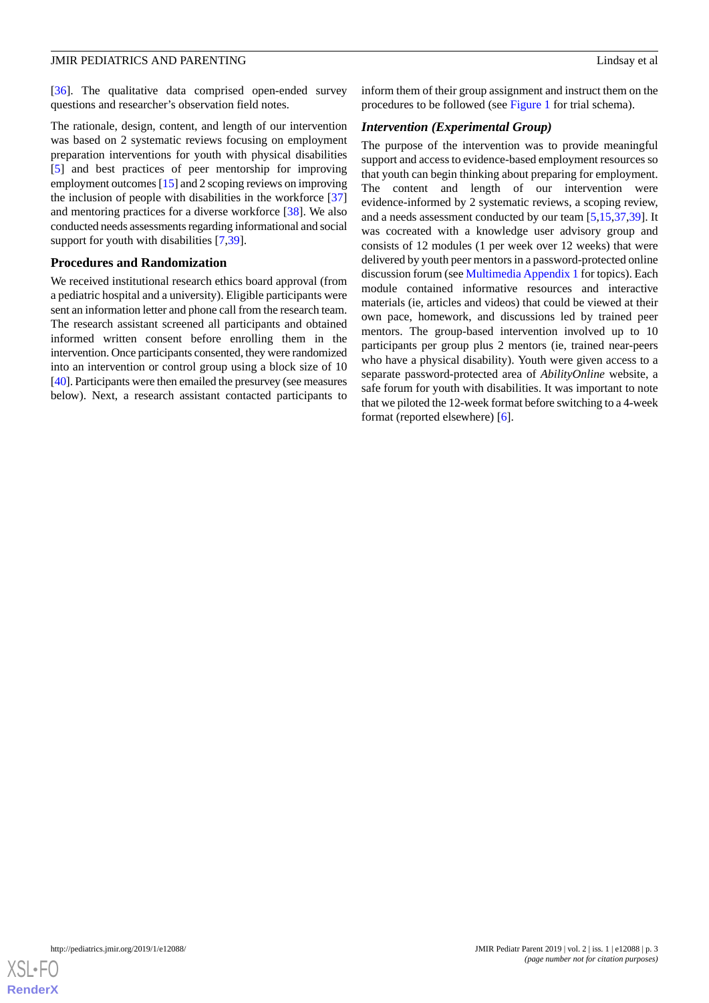[[36\]](#page-10-8). The qualitative data comprised open-ended survey questions and researcher's observation field notes.

The rationale, design, content, and length of our intervention was based on 2 systematic reviews focusing on employment preparation interventions for youth with physical disabilities [[5\]](#page-9-3) and best practices of peer mentorship for improving employment outcomes [\[15](#page-9-11)] and 2 scoping reviews on improving the inclusion of people with disabilities in the workforce [\[37](#page-10-9)] and mentoring practices for a diverse workforce [\[38](#page-10-10)]. We also conducted needs assessments regarding informational and social support for youth with disabilities [[7](#page-9-5)[,39](#page-10-11)].

#### **Procedures and Randomization**

We received institutional research ethics board approval (from a pediatric hospital and a university). Eligible participants were sent an information letter and phone call from the research team. The research assistant screened all participants and obtained informed written consent before enrolling them in the intervention. Once participants consented, they were randomized into an intervention or control group using a block size of 10 [[40\]](#page-10-12). Participants were then emailed the presurvey (see measures below). Next, a research assistant contacted participants to

inform them of their group assignment and instruct them on the procedures to be followed (see [Figure 1](#page-3-0) for trial schema).

# *Intervention (Experimental Group)*

The purpose of the intervention was to provide meaningful support and access to evidence-based employment resources so that youth can begin thinking about preparing for employment. The content and length of our intervention were evidence-informed by 2 systematic reviews, a scoping review, and a needs assessment conducted by our team [[5](#page-9-3)[,15](#page-9-11),[37](#page-10-9)[,39](#page-10-11)]. It was cocreated with a knowledge user advisory group and consists of 12 modules (1 per week over 12 weeks) that were delivered by youth peer mentors in a password-protected online discussion forum (see [Multimedia Appendix 1](#page-8-1) for topics). Each module contained informative resources and interactive materials (ie, articles and videos) that could be viewed at their own pace, homework, and discussions led by trained peer mentors. The group-based intervention involved up to 10 participants per group plus 2 mentors (ie, trained near-peers who have a physical disability). Youth were given access to a separate password-protected area of *AbilityOnline* website, a safe forum for youth with disabilities. It was important to note that we piloted the 12-week format before switching to a 4-week format (reported elsewhere) [[6\]](#page-9-4).

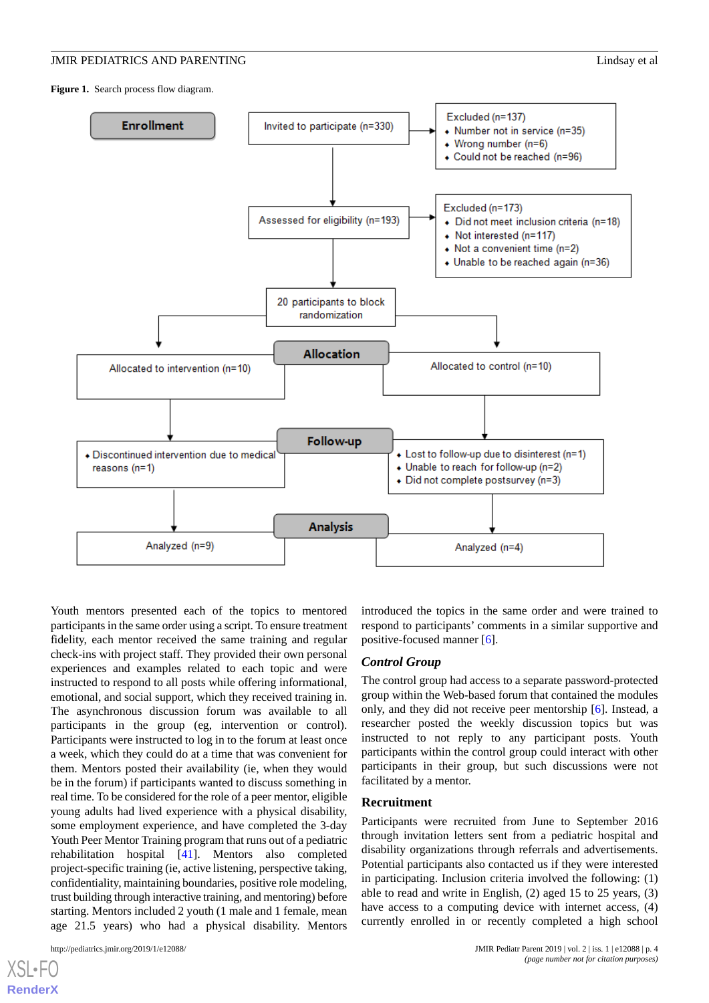<span id="page-3-0"></span>**Figure 1.** Search process flow diagram.



Youth mentors presented each of the topics to mentored participants in the same order using a script. To ensure treatment fidelity, each mentor received the same training and regular check-ins with project staff. They provided their own personal experiences and examples related to each topic and were instructed to respond to all posts while offering informational, emotional, and social support, which they received training in. The asynchronous discussion forum was available to all participants in the group (eg, intervention or control). Participants were instructed to log in to the forum at least once a week, which they could do at a time that was convenient for them. Mentors posted their availability (ie, when they would be in the forum) if participants wanted to discuss something in real time. To be considered for the role of a peer mentor, eligible young adults had lived experience with a physical disability, some employment experience, and have completed the 3-day Youth Peer Mentor Training program that runs out of a pediatric rehabilitation hospital [\[41](#page-10-13)]. Mentors also completed project-specific training (ie, active listening, perspective taking, confidentiality, maintaining boundaries, positive role modeling, trust building through interactive training, and mentoring) before starting. Mentors included 2 youth (1 male and 1 female, mean age 21.5 years) who had a physical disability. Mentors

[XSL](http://www.w3.org/Style/XSL)•FO **[RenderX](http://www.renderx.com/)**

introduced the topics in the same order and were trained to respond to participants' comments in a similar supportive and positive-focused manner [[6\]](#page-9-4).

#### *Control Group*

The control group had access to a separate password-protected group within the Web-based forum that contained the modules only, and they did not receive peer mentorship [[6\]](#page-9-4). Instead, a researcher posted the weekly discussion topics but was instructed to not reply to any participant posts. Youth participants within the control group could interact with other participants in their group, but such discussions were not facilitated by a mentor.

#### **Recruitment**

Participants were recruited from June to September 2016 through invitation letters sent from a pediatric hospital and disability organizations through referrals and advertisements. Potential participants also contacted us if they were interested in participating. Inclusion criteria involved the following: (1) able to read and write in English, (2) aged 15 to 25 years, (3) have access to a computing device with internet access, (4) currently enrolled in or recently completed a high school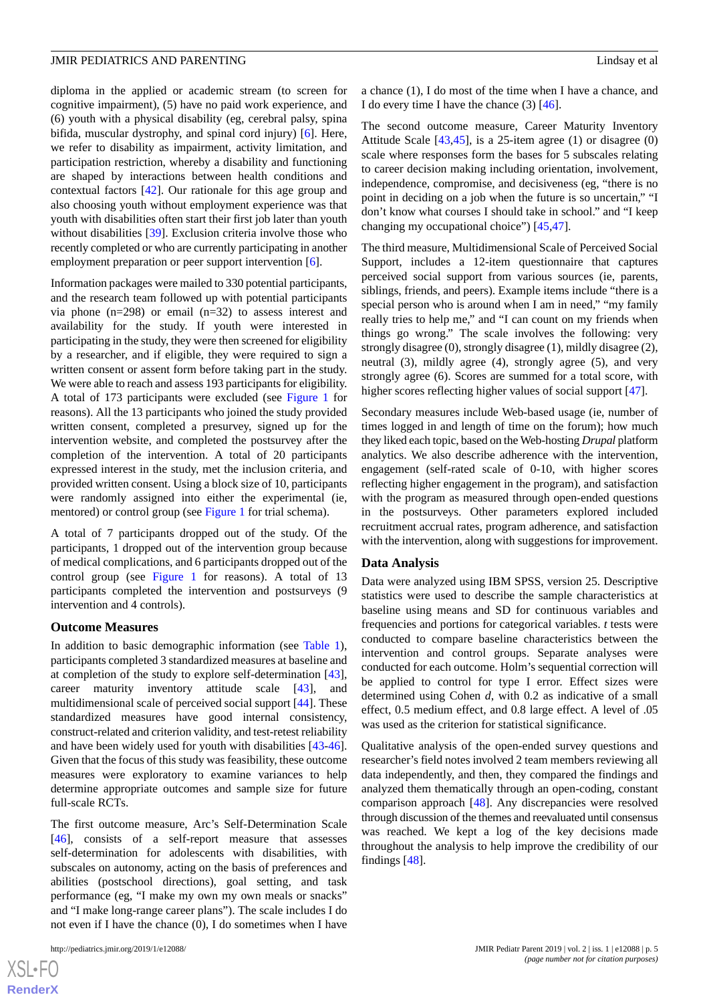diploma in the applied or academic stream (to screen for cognitive impairment), (5) have no paid work experience, and (6) youth with a physical disability (eg, cerebral palsy, spina bifida, muscular dystrophy, and spinal cord injury) [[6\]](#page-9-4). Here, we refer to disability as impairment, activity limitation, and participation restriction, whereby a disability and functioning are shaped by interactions between health conditions and contextual factors [[42\]](#page-10-14). Our rationale for this age group and also choosing youth without employment experience was that youth with disabilities often start their first job later than youth without disabilities [[39\]](#page-10-11). Exclusion criteria involve those who recently completed or who are currently participating in another employment preparation or peer support intervention [\[6](#page-9-4)].

Information packages were mailed to 330 potential participants, and the research team followed up with potential participants via phone (n=298) or email (n=32) to assess interest and availability for the study. If youth were interested in participating in the study, they were then screened for eligibility by a researcher, and if eligible, they were required to sign a written consent or assent form before taking part in the study. We were able to reach and assess 193 participants for eligibility. A total of 173 participants were excluded (see [Figure 1](#page-3-0) for reasons). All the 13 participants who joined the study provided written consent, completed a presurvey, signed up for the intervention website, and completed the postsurvey after the completion of the intervention. A total of 20 participants expressed interest in the study, met the inclusion criteria, and provided written consent. Using a block size of 10, participants were randomly assigned into either the experimental (ie, mentored) or control group (see [Figure 1](#page-3-0) for trial schema).

A total of 7 participants dropped out of the study. Of the participants, 1 dropped out of the intervention group because of medical complications, and 6 participants dropped out of the control group (see [Figure 1](#page-3-0) for reasons). A total of 13 participants completed the intervention and postsurveys (9 intervention and 4 controls).

#### **Outcome Measures**

In addition to basic demographic information (see [Table 1\)](#page-5-0), participants completed 3 standardized measures at baseline and at completion of the study to explore self-determination [[43\]](#page-10-15), career maturity inventory attitude scale [[43\]](#page-10-15), and multidimensional scale of perceived social support [[44\]](#page-10-16). These standardized measures have good internal consistency, construct-related and criterion validity, and test-retest reliability and have been widely used for youth with disabilities [\[43](#page-10-15)-[46\]](#page-10-17). Given that the focus of this study was feasibility, these outcome measures were exploratory to examine variances to help determine appropriate outcomes and sample size for future full-scale RCTs.

The first outcome measure, Arc's Self-Determination Scale [[46\]](#page-10-17), consists of a self-report measure that assesses self-determination for adolescents with disabilities, with subscales on autonomy, acting on the basis of preferences and abilities (postschool directions), goal setting, and task performance (eg, "I make my own my own meals or snacks" and "I make long-range career plans"). The scale includes I do not even if I have the chance (0), I do sometimes when I have

 $XS$ -FO **[RenderX](http://www.renderx.com/)**

a chance (1), I do most of the time when I have a chance, and I do every time I have the chance  $(3)$  [[46\]](#page-10-17).

The second outcome measure, Career Maturity Inventory Attitude Scale [\[43](#page-10-15),[45\]](#page-10-18), is a 25-item agree (1) or disagree (0) scale where responses form the bases for 5 subscales relating to career decision making including orientation, involvement, independence, compromise, and decisiveness (eg, "there is no point in deciding on a job when the future is so uncertain," "I don't know what courses I should take in school." and "I keep changing my occupational choice") [\[45](#page-10-18),[47\]](#page-10-19).

The third measure, Multidimensional Scale of Perceived Social Support, includes a 12-item questionnaire that captures perceived social support from various sources (ie, parents, siblings, friends, and peers). Example items include "there is a special person who is around when I am in need," "my family really tries to help me," and "I can count on my friends when things go wrong." The scale involves the following: very strongly disagree (0), strongly disagree (1), mildly disagree (2), neutral (3), mildly agree (4), strongly agree (5), and very strongly agree (6). Scores are summed for a total score, with higher scores reflecting higher values of social support [\[47](#page-10-19)].

Secondary measures include Web-based usage (ie, number of times logged in and length of time on the forum); how much they liked each topic, based on the Web-hosting *Drupal* platform analytics. We also describe adherence with the intervention, engagement (self-rated scale of 0-10, with higher scores reflecting higher engagement in the program), and satisfaction with the program as measured through open-ended questions in the postsurveys. Other parameters explored included recruitment accrual rates, program adherence, and satisfaction with the intervention, along with suggestions for improvement.

#### **Data Analysis**

Data were analyzed using IBM SPSS, version 25. Descriptive statistics were used to describe the sample characteristics at baseline using means and SD for continuous variables and frequencies and portions for categorical variables. *t* tests were conducted to compare baseline characteristics between the intervention and control groups. Separate analyses were conducted for each outcome. Holm's sequential correction will be applied to control for type I error. Effect sizes were determined using Cohen *d*, with 0.2 as indicative of a small effect, 0.5 medium effect, and 0.8 large effect. A level of .05 was used as the criterion for statistical significance.

Qualitative analysis of the open-ended survey questions and researcher's field notes involved 2 team members reviewing all data independently, and then, they compared the findings and analyzed them thematically through an open-coding, constant comparison approach [[48\]](#page-10-20). Any discrepancies were resolved through discussion of the themes and reevaluated until consensus was reached. We kept a log of the key decisions made throughout the analysis to help improve the credibility of our findings [\[48](#page-10-20)].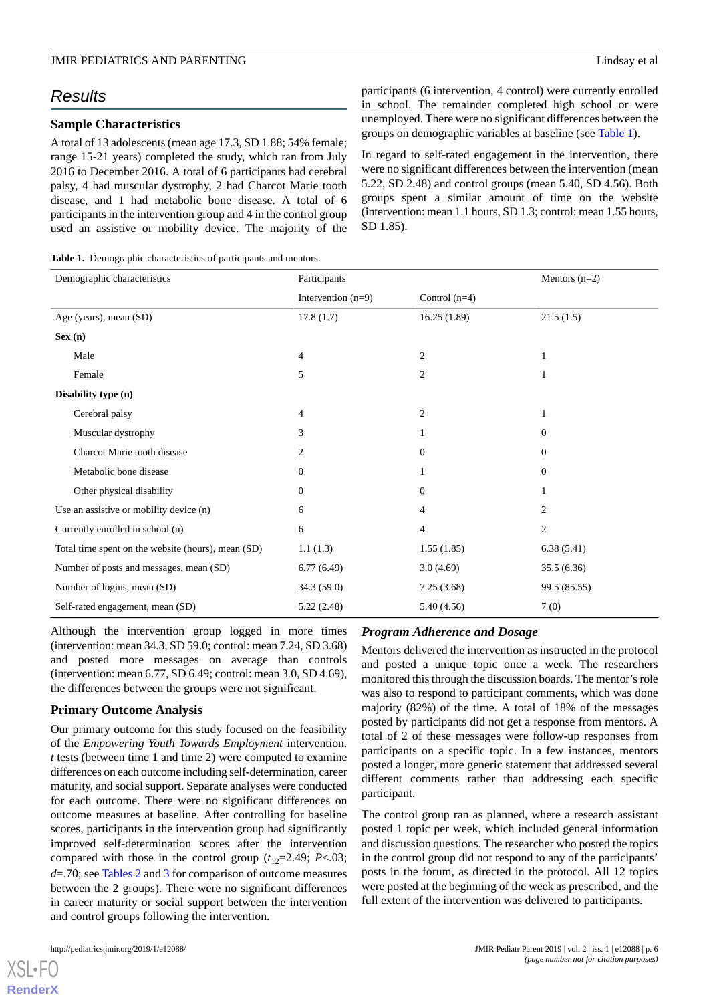# *Results*

## **Sample Characteristics**

A total of 13 adolescents (mean age 17.3, SD 1.88; 54% female; range 15-21 years) completed the study, which ran from July 2016 to December 2016. A total of 6 participants had cerebral palsy, 4 had muscular dystrophy, 2 had Charcot Marie tooth disease, and 1 had metabolic bone disease. A total of 6 participants in the intervention group and 4 in the control group used an assistive or mobility device. The majority of the

<span id="page-5-0"></span>**Table 1.** Demographic characteristics of participants and mentors.

participants (6 intervention, 4 control) were currently enrolled in school. The remainder completed high school or were unemployed. There were no significant differences between the groups on demographic variables at baseline (see [Table 1\)](#page-5-0).

In regard to self-rated engagement in the intervention, there were no significant differences between the intervention (mean 5.22, SD 2.48) and control groups (mean 5.40, SD 4.56). Both groups spent a similar amount of time on the website (intervention: mean 1.1 hours, SD 1.3; control: mean 1.55 hours, SD 1.85).

| Demographic characteristics                        | Participants         |                 | Mentors $(n=2)$  |
|----------------------------------------------------|----------------------|-----------------|------------------|
|                                                    | Intervention $(n=9)$ | Control $(n=4)$ |                  |
| Age (years), mean (SD)                             | 17.8(1.7)            | 16.25(1.89)     | 21.5(1.5)        |
| Sex(n)                                             |                      |                 |                  |
| Male                                               | 4                    | $\overline{c}$  |                  |
| Female                                             | 5                    | $\overline{2}$  | 1                |
| Disability type (n)                                |                      |                 |                  |
| Cerebral palsy                                     | 4                    | $\overline{2}$  | 1                |
| Muscular dystrophy                                 | 3                    | 1               | $\boldsymbol{0}$ |
| Charcot Marie tooth disease                        | $\mathfrak{2}$       | $\mathbf{0}$    | $\boldsymbol{0}$ |
| Metabolic bone disease                             | $\mathbf{0}$         | 1               | $\boldsymbol{0}$ |
| Other physical disability                          | $\boldsymbol{0}$     | $\mathbf{0}$    |                  |
| Use an assistive or mobility device (n)            | 6                    | 4               | $\overline{c}$   |
| Currently enrolled in school (n)                   | 6                    | $\overline{4}$  | $\sqrt{2}$       |
| Total time spent on the website (hours), mean (SD) | 1.1(1.3)             | 1.55(1.85)      | 6.38(5.41)       |
| Number of posts and messages, mean (SD)            | 6.77(6.49)           | 3.0(4.69)       | 35.5(6.36)       |
| Number of logins, mean (SD)                        | 34.3 (59.0)          | 7.25(3.68)      | 99.5 (85.55)     |
| Self-rated engagement, mean (SD)                   | 5.22(2.48)           | 5.40(4.56)      | 7(0)             |

Although the intervention group logged in more times (intervention: mean 34.3, SD 59.0; control: mean 7.24, SD 3.68) and posted more messages on average than controls (intervention: mean 6.77, SD 6.49; control: mean 3.0, SD 4.69), the differences between the groups were not significant.

## **Primary Outcome Analysis**

Our primary outcome for this study focused on the feasibility of the *Empowering Youth Towards Employment* intervention. *t* tests (between time 1 and time 2) were computed to examine differences on each outcome including self-determination, career maturity, and social support. Separate analyses were conducted for each outcome. There were no significant differences on outcome measures at baseline. After controlling for baseline scores, participants in the intervention group had significantly improved self-determination scores after the intervention compared with those in the control group  $(t_{12}=2.49; P<.03;$ *d*=.70; see [Tables 2](#page-6-0) and [3](#page-6-1) for comparison of outcome measures between the 2 groups). There were no significant differences in career maturity or social support between the intervention and control groups following the intervention.

[XSL](http://www.w3.org/Style/XSL)•FO **[RenderX](http://www.renderx.com/)**

#### *Program Adherence and Dosage*

Mentors delivered the intervention as instructed in the protocol and posted a unique topic once a week. The researchers monitored this through the discussion boards. The mentor's role was also to respond to participant comments, which was done majority (82%) of the time. A total of 18% of the messages posted by participants did not get a response from mentors. A total of 2 of these messages were follow-up responses from participants on a specific topic. In a few instances, mentors posted a longer, more generic statement that addressed several different comments rather than addressing each specific participant.

The control group ran as planned, where a research assistant posted 1 topic per week, which included general information and discussion questions. The researcher who posted the topics in the control group did not respond to any of the participants' posts in the forum, as directed in the protocol. All 12 topics were posted at the beginning of the week as prescribed, and the full extent of the intervention was delivered to participants.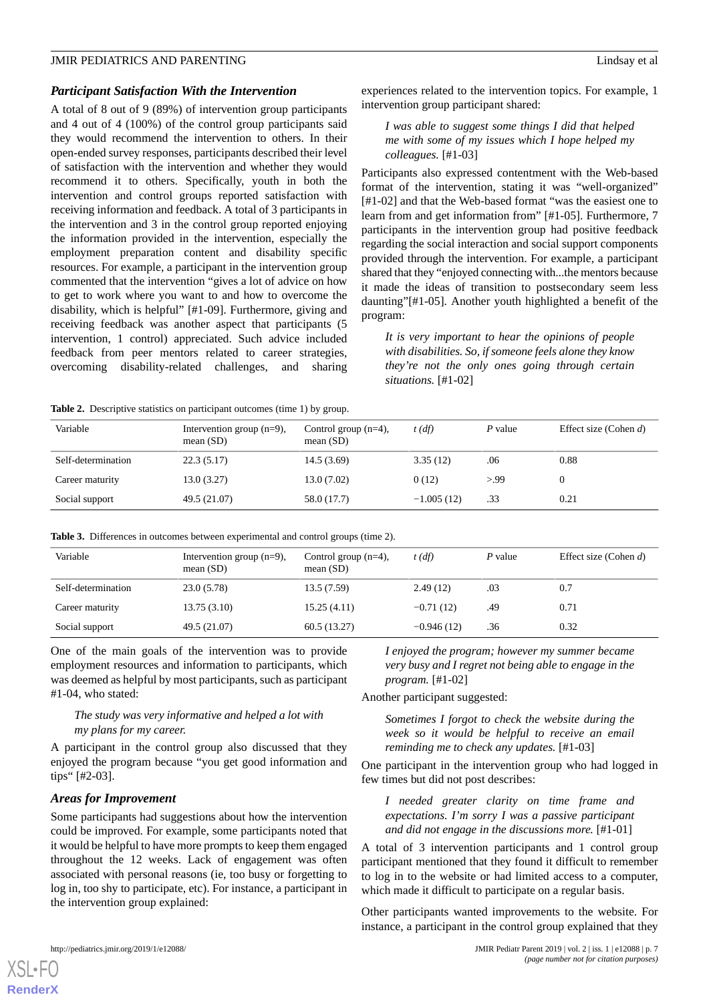## *Participant Satisfaction With the Intervention*

A total of 8 out of 9 (89%) of intervention group participants and 4 out of 4 (100%) of the control group participants said they would recommend the intervention to others. In their open-ended survey responses, participants described their level of satisfaction with the intervention and whether they would recommend it to others. Specifically, youth in both the intervention and control groups reported satisfaction with receiving information and feedback. A total of 3 participants in the intervention and 3 in the control group reported enjoying the information provided in the intervention, especially the employment preparation content and disability specific resources. For example, a participant in the intervention group commented that the intervention "gives a lot of advice on how to get to work where you want to and how to overcome the disability, which is helpful" [#1-09]. Furthermore, giving and receiving feedback was another aspect that participants (5 intervention, 1 control) appreciated. Such advice included feedback from peer mentors related to career strategies, overcoming disability-related challenges, and sharing

experiences related to the intervention topics. For example, 1 intervention group participant shared:

*I was able to suggest some things I did that helped me with some of my issues which I hope helped my colleagues.* [#1-03]

Participants also expressed contentment with the Web-based format of the intervention, stating it was "well-organized" [#1-02] and that the Web-based format "was the easiest one to learn from and get information from" [#1-05]. Furthermore, 7 participants in the intervention group had positive feedback regarding the social interaction and social support components provided through the intervention. For example, a participant shared that they "enjoyed connecting with...the mentors because it made the ideas of transition to postsecondary seem less daunting"[#1-05]. Another youth highlighted a benefit of the program:

*It is very important to hear the opinions of people with disabilities. So, if someone feels alone they know they're not the only ones going through certain situations.* [#1-02]

<span id="page-6-0"></span>**Table 2.** Descriptive statistics on participant outcomes (time 1) by group.

| Variable           | Intervention group $(n=9)$ ,<br>mean $(SD)$ | Control group $(n=4)$ ,<br>mean $(SD)$ | $t$ (df)     | P value | Effect size (Cohen $d$ ) |
|--------------------|---------------------------------------------|----------------------------------------|--------------|---------|--------------------------|
| Self-determination | 22.3(5.17)                                  | 14.5(3.69)                             | 3.35(12)     | .06     | 0.88                     |
| Career maturity    | 13.0(3.27)                                  | 13.0(7.02)                             | 0(12)        | >99     |                          |
| Social support     | 49.5 (21.07)                                | 58.0 (17.7)                            | $-1.005(12)$ | .33     | 0.21                     |

<span id="page-6-1"></span>**Table 3.** Differences in outcomes between experimental and control groups (time 2).

| Variable           | Intervention group $(n=9)$ ,<br>mean $(SD)$ | Control group $(n=4)$ ,<br>mean $(SD)$ | $t$ (df)     | P value | Effect size (Cohen $d$ ) |
|--------------------|---------------------------------------------|----------------------------------------|--------------|---------|--------------------------|
| Self-determination | 23.0(5.78)                                  | 13.5 (7.59)                            | 2.49(12)     | .03     | 0.7                      |
| Career maturity    | 13.75(3.10)                                 | 15.25(4.11)                            | $-0.71(12)$  | .49     | 0.71                     |
| Social support     | 49.5 (21.07)                                | 60.5(13.27)                            | $-0.946(12)$ | .36     | 0.32                     |

One of the main goals of the intervention was to provide employment resources and information to participants, which was deemed as helpful by most participants, such as participant #1-04, who stated:

# *The study was very informative and helped a lot with my plans for my career.*

A participant in the control group also discussed that they enjoyed the program because "you get good information and tips" [#2-03].

#### *Areas for Improvement*

Some participants had suggestions about how the intervention could be improved. For example, some participants noted that it would be helpful to have more prompts to keep them engaged throughout the 12 weeks. Lack of engagement was often associated with personal reasons (ie, too busy or forgetting to log in, too shy to participate, etc). For instance, a participant in the intervention group explained:

*I enjoyed the program; however my summer became very busy and I regret not being able to engage in the program.* [#1-02]

Another participant suggested:

*Sometimes I forgot to check the website during the week so it would be helpful to receive an email reminding me to check any updates.* [#1-03]

One participant in the intervention group who had logged in few times but did not post describes:

*I needed greater clarity on time frame and expectations. I'm sorry I was a passive participant and did not engage in the discussions more.* [#1-01]

A total of 3 intervention participants and 1 control group participant mentioned that they found it difficult to remember to log in to the website or had limited access to a computer, which made it difficult to participate on a regular basis.

Other participants wanted improvements to the website. For instance, a participant in the control group explained that they

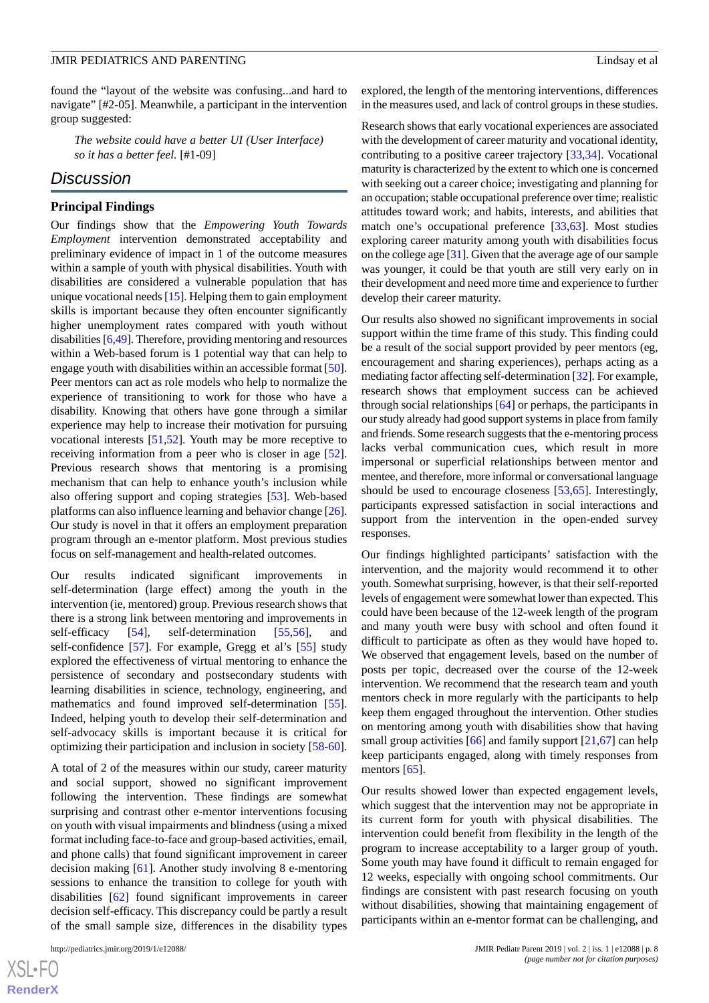found the "layout of the website was confusing...and hard to navigate" [#2-05]. Meanwhile, a participant in the intervention group suggested:

*The website could have a better UI (User Interface) so it has a better feel.* [#1-09]

# *Discussion*

#### **Principal Findings**

Our findings show that the *Empowering Youth Towards Employment* intervention demonstrated acceptability and preliminary evidence of impact in 1 of the outcome measures within a sample of youth with physical disabilities. Youth with disabilities are considered a vulnerable population that has unique vocational needs [\[15](#page-9-11)]. Helping them to gain employment skills is important because they often encounter significantly higher unemployment rates compared with youth without disabilities [[6,](#page-9-4)[49\]](#page-11-0). Therefore, providing mentoring and resources within a Web-based forum is 1 potential way that can help to engage youth with disabilities within an accessible format [[50\]](#page-11-1). Peer mentors can act as role models who help to normalize the experience of transitioning to work for those who have a disability. Knowing that others have gone through a similar experience may help to increase their motivation for pursuing vocational interests [[51,](#page-11-2)[52](#page-11-3)]. Youth may be more receptive to receiving information from a peer who is closer in age [[52\]](#page-11-3). Previous research shows that mentoring is a promising mechanism that can help to enhance youth's inclusion while also offering support and coping strategies [[53\]](#page-11-4). Web-based platforms can also influence learning and behavior change [[26\]](#page-10-21). Our study is novel in that it offers an employment preparation program through an e-mentor platform. Most previous studies focus on self-management and health-related outcomes.

Our results indicated significant improvements in self-determination (large effect) among the youth in the intervention (ie, mentored) group. Previous research shows that there is a strong link between mentoring and improvements in self-efficacy [\[54](#page-11-5)], self-determination [[55,](#page-11-6)[56](#page-11-7)], and self-confidence [[57\]](#page-11-8). For example, Gregg et al's [\[55](#page-11-6)] study explored the effectiveness of virtual mentoring to enhance the persistence of secondary and postsecondary students with learning disabilities in science, technology, engineering, and mathematics and found improved self-determination [[55\]](#page-11-6). Indeed, helping youth to develop their self-determination and self-advocacy skills is important because it is critical for optimizing their participation and inclusion in society [\[58](#page-11-9)-[60\]](#page-11-10).

A total of 2 of the measures within our study, career maturity and social support, showed no significant improvement following the intervention. These findings are somewhat surprising and contrast other e-mentor interventions focusing on youth with visual impairments and blindness (using a mixed format including face-to-face and group-based activities, email, and phone calls) that found significant improvement in career decision making [\[61](#page-11-11)]. Another study involving 8 e-mentoring sessions to enhance the transition to college for youth with disabilities [[62\]](#page-11-12) found significant improvements in career decision self-efficacy. This discrepancy could be partly a result of the small sample size, differences in the disability types

explored, the length of the mentoring interventions, differences in the measures used, and lack of control groups in these studies.

Research shows that early vocational experiences are associated with the development of career maturity and vocational identity, contributing to a positive career trajectory [[33,](#page-10-22)[34\]](#page-10-6). Vocational maturity is characterized by the extent to which one is concerned with seeking out a career choice; investigating and planning for an occupation; stable occupational preference over time; realistic attitudes toward work; and habits, interests, and abilities that match one's occupational preference [[33](#page-10-22)[,63](#page-11-13)]. Most studies exploring career maturity among youth with disabilities focus on the college age [\[31](#page-10-5)]. Given that the average age of our sample was younger, it could be that youth are still very early on in their development and need more time and experience to further develop their career maturity.

Our results also showed no significant improvements in social support within the time frame of this study. This finding could be a result of the social support provided by peer mentors (eg, encouragement and sharing experiences), perhaps acting as a mediating factor affecting self-determination [\[32\]](#page-10-23). For example, research shows that employment success can be achieved through social relationships [\[64](#page-11-14)] or perhaps, the participants in our study already had good support systems in place from family and friends. Some research suggests that the e-mentoring process lacks verbal communication cues, which result in more impersonal or superficial relationships between mentor and mentee, and therefore, more informal or conversational language should be used to encourage closeness [[53,](#page-11-4)[65](#page-11-15)]. Interestingly, participants expressed satisfaction in social interactions and support from the intervention in the open-ended survey responses.

Our findings highlighted participants' satisfaction with the intervention, and the majority would recommend it to other youth. Somewhat surprising, however, is that their self-reported levels of engagement were somewhat lower than expected. This could have been because of the 12-week length of the program and many youth were busy with school and often found it difficult to participate as often as they would have hoped to. We observed that engagement levels, based on the number of posts per topic, decreased over the course of the 12-week intervention. We recommend that the research team and youth mentors check in more regularly with the participants to help keep them engaged throughout the intervention. Other studies on mentoring among youth with disabilities show that having small group activities  $[66]$  $[66]$  and family support  $[21,67]$  $[21,67]$  $[21,67]$  can help keep participants engaged, along with timely responses from mentors [[65\]](#page-11-15).

Our results showed lower than expected engagement levels, which suggest that the intervention may not be appropriate in its current form for youth with physical disabilities. The intervention could benefit from flexibility in the length of the program to increase acceptability to a larger group of youth. Some youth may have found it difficult to remain engaged for 12 weeks, especially with ongoing school commitments. Our findings are consistent with past research focusing on youth without disabilities, showing that maintaining engagement of participants within an e-mentor format can be challenging, and

 $XSJ \cdot F$ **[RenderX](http://www.renderx.com/)**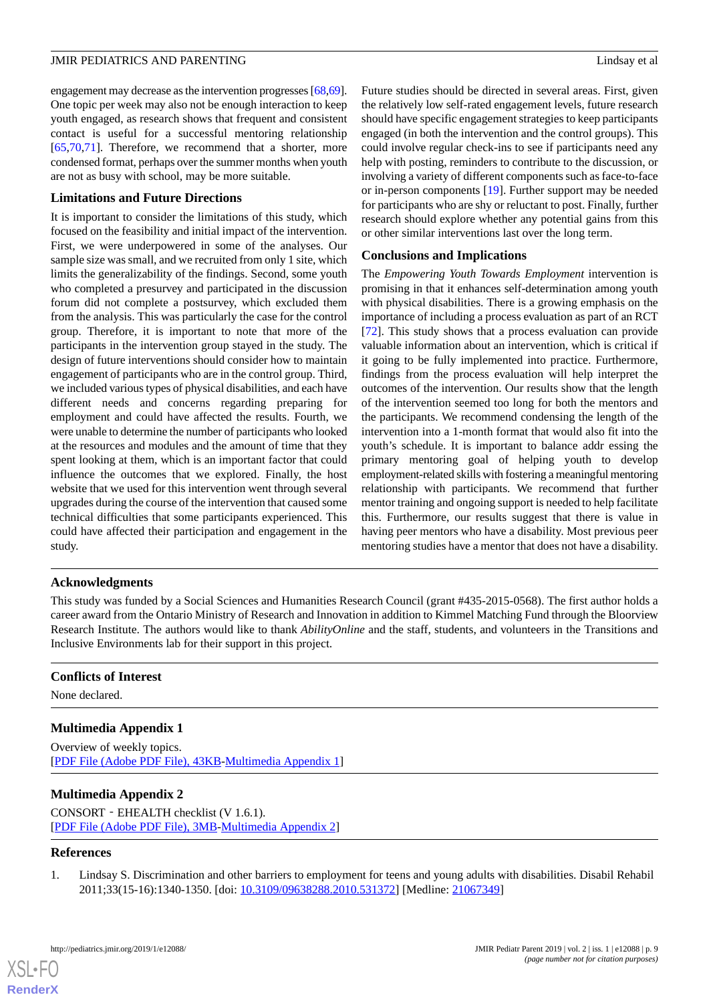engagement may decrease as the intervention progresses [\[68](#page-11-18)[,69\]](#page-11-19). One topic per week may also not be enough interaction to keep youth engaged, as research shows that frequent and consistent contact is useful for a successful mentoring relationship [[65](#page-11-15)[,70](#page-11-20),[71\]](#page-11-21). Therefore, we recommend that a shorter, more condensed format, perhaps over the summer months when youth are not as busy with school, may be more suitable.

# **Limitations and Future Directions**

It is important to consider the limitations of this study, which focused on the feasibility and initial impact of the intervention. First, we were underpowered in some of the analyses. Our sample size was small, and we recruited from only 1 site, which limits the generalizability of the findings. Second, some youth who completed a presurvey and participated in the discussion forum did not complete a postsurvey, which excluded them from the analysis. This was particularly the case for the control group. Therefore, it is important to note that more of the participants in the intervention group stayed in the study. The design of future interventions should consider how to maintain engagement of participants who are in the control group. Third, we included various types of physical disabilities, and each have different needs and concerns regarding preparing for employment and could have affected the results. Fourth, we were unable to determine the number of participants who looked at the resources and modules and the amount of time that they spent looking at them, which is an important factor that could influence the outcomes that we explored. Finally, the host website that we used for this intervention went through several upgrades during the course of the intervention that caused some technical difficulties that some participants experienced. This could have affected their participation and engagement in the study.

Future studies should be directed in several areas. First, given the relatively low self-rated engagement levels, future research should have specific engagement strategies to keep participants engaged (in both the intervention and the control groups). This could involve regular check-ins to see if participants need any help with posting, reminders to contribute to the discussion, or involving a variety of different components such as face-to-face or in-person components [\[19](#page-9-14)]. Further support may be needed for participants who are shy or reluctant to post. Finally, further research should explore whether any potential gains from this or other similar interventions last over the long term.

# **Conclusions and Implications**

The *Empowering Youth Towards Employment* intervention is promising in that it enhances self-determination among youth with physical disabilities. There is a growing emphasis on the importance of including a process evaluation as part of an RCT [[72\]](#page-11-22). This study shows that a process evaluation can provide valuable information about an intervention, which is critical if it going to be fully implemented into practice. Furthermore, findings from the process evaluation will help interpret the outcomes of the intervention. Our results show that the length of the intervention seemed too long for both the mentors and the participants. We recommend condensing the length of the intervention into a 1-month format that would also fit into the youth's schedule. It is important to balance addr essing the primary mentoring goal of helping youth to develop employment-related skills with fostering a meaningful mentoring relationship with participants. We recommend that further mentor training and ongoing support is needed to help facilitate this. Furthermore, our results suggest that there is value in having peer mentors who have a disability. Most previous peer mentoring studies have a mentor that does not have a disability.

# **Acknowledgments**

This study was funded by a Social Sciences and Humanities Research Council (grant #435-2015-0568). The first author holds a career award from the Ontario Ministry of Research and Innovation in addition to Kimmel Matching Fund through the Bloorview Research Institute. The authors would like to thank *AbilityOnline* and the staff, students, and volunteers in the Transitions and Inclusive Environments lab for their support in this project.

# <span id="page-8-1"></span>**Conflicts of Interest**

None declared.

# **Multimedia Appendix 1**

Overview of weekly topics. [[PDF File \(Adobe PDF File\), 43KB-Multimedia Appendix 1](https://jmir.org/api/download?alt_name=pediatrics_v2i1e12088_app1.pdf&filename=43e595f61e3d6cd65a5cb69a6e5d22d6.pdf)]

# <span id="page-8-0"></span>**Multimedia Appendix 2**

CONSORT‐EHEALTH checklist (V 1.6.1). [[PDF File \(Adobe PDF File\), 3MB](https://jmir.org/api/download?alt_name=pediatrics_v2i1e12088_app2.pdf&filename=d21ef1973eb423ba5562c809fa2c9e02.pdf)-[Multimedia Appendix 2\]](https://jmir.org/api/download?alt_name=pediatrics_v2i1e12088_app2.pdf&filename=d21ef1973eb423ba5562c809fa2c9e02.pdf)

## **References**

[XSL](http://www.w3.org/Style/XSL)•FO **[RenderX](http://www.renderx.com/)**

1. Lindsay S. Discrimination and other barriers to employment for teens and young adults with disabilities. Disabil Rehabil 2011;33(15-16):1340-1350. [doi: [10.3109/09638288.2010.531372](http://dx.doi.org/10.3109/09638288.2010.531372)] [Medline: [21067349\]](http://www.ncbi.nlm.nih.gov/entrez/query.fcgi?cmd=Retrieve&db=PubMed&list_uids=21067349&dopt=Abstract)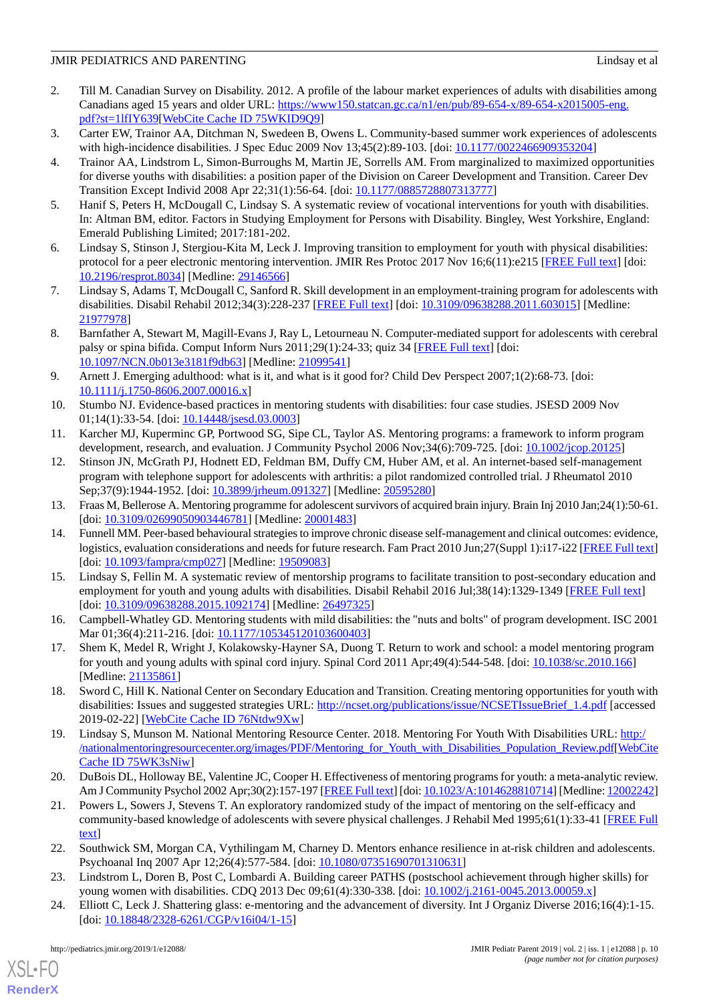- <span id="page-9-0"></span>2. Till M. Canadian Survey on Disability. 2012. A profile of the labour market experiences of adults with disabilities among Canadians aged 15 years and older URL: [https://www150.statcan.gc.ca/n1/en/pub/89-654-x/89-654-x2015005-eng.](https://www150.statcan.gc.ca/n1/en/pub/89-654-x/89-654-x2015005-eng.pdf?st=1lfIY639) [pdf?st=1lfIY639](https://www150.statcan.gc.ca/n1/en/pub/89-654-x/89-654-x2015005-eng.pdf?st=1lfIY639)[[WebCite Cache ID 75WKID9Q9\]](http://www.webcitation.org/

                                75WKID9Q9)
- <span id="page-9-2"></span><span id="page-9-1"></span>3. Carter EW, Trainor AA, Ditchman N, Swedeen B, Owens L. Community-based summer work experiences of adolescents with high-incidence disabilities. J Spec Educ 2009 Nov 13;45(2):89-103. [doi: [10.1177/0022466909353204\]](http://dx.doi.org/10.1177/0022466909353204)
- 4. Trainor AA, Lindstrom L, Simon-Burroughs M, Martin JE, Sorrells AM. From marginalized to maximized opportunities for diverse youths with disabilities: a position paper of the Division on Career Development and Transition. Career Dev Transition Except Individ 2008 Apr 22;31(1):56-64. [doi: [10.1177/0885728807313777\]](http://dx.doi.org/10.1177/0885728807313777)
- <span id="page-9-4"></span><span id="page-9-3"></span>5. Hanif S, Peters H, McDougall C, Lindsay S. A systematic review of vocational interventions for youth with disabilities. In: Altman BM, editor. Factors in Studying Employment for Persons with Disability. Bingley, West Yorkshire, England: Emerald Publishing Limited; 2017:181-202.
- <span id="page-9-5"></span>6. Lindsay S, Stinson J, Stergiou-Kita M, Leck J. Improving transition to employment for youth with physical disabilities: protocol for a peer electronic mentoring intervention. JMIR Res Protoc 2017 Nov 16;6(11):e215 [[FREE Full text](http://www.researchprotocols.org/2017/11/e215/)] [doi: [10.2196/resprot.8034](http://dx.doi.org/10.2196/resprot.8034)] [Medline: [29146566\]](http://www.ncbi.nlm.nih.gov/entrez/query.fcgi?cmd=Retrieve&db=PubMed&list_uids=29146566&dopt=Abstract)
- <span id="page-9-6"></span>7. Lindsay S, Adams T, McDougall C, Sanford R. Skill development in an employment-training program for adolescents with disabilities. Disabil Rehabil 2012;34(3):228-237 [\[FREE Full text\]](https://doi.org/10.3109/09638288.2011.603015) [doi: [10.3109/09638288.2011.603015](http://dx.doi.org/10.3109/09638288.2011.603015)] [Medline: [21977978](http://www.ncbi.nlm.nih.gov/entrez/query.fcgi?cmd=Retrieve&db=PubMed&list_uids=21977978&dopt=Abstract)]
- <span id="page-9-7"></span>8. Barnfather A, Stewart M, Magill-Evans J, Ray L, Letourneau N. Computer-mediated support for adolescents with cerebral palsy or spina bifida. Comput Inform Nurs 2011;29(1):24-33; quiz 34 [\[FREE Full text](https://doi.org/10.1097/NCN.0b013e3181f9db63)] [doi: [10.1097/NCN.0b013e3181f9db63](http://dx.doi.org/10.1097/NCN.0b013e3181f9db63)] [Medline: [21099541\]](http://www.ncbi.nlm.nih.gov/entrez/query.fcgi?cmd=Retrieve&db=PubMed&list_uids=21099541&dopt=Abstract)
- <span id="page-9-8"></span>9. Arnett J. Emerging adulthood: what is it, and what is it good for? Child Dev Perspect 2007;1(2):68-73. [doi: [10.1111/j.1750-8606.2007.00016.x\]](http://dx.doi.org/10.1111/j.1750-8606.2007.00016.x)
- <span id="page-9-10"></span><span id="page-9-9"></span>10. Stumbo NJ. Evidence-based practices in mentoring students with disabilities: four case studies. JSESD 2009 Nov 01;14(1):33-54. [doi: [10.14448/jsesd.03.0003\]](http://dx.doi.org/10.14448/jsesd.03.0003)
- 11. Karcher MJ, Kuperminc GP, Portwood SG, Sipe CL, Taylor AS. Mentoring programs: a framework to inform program development, research, and evaluation. J Community Psychol 2006 Nov;34(6):709-725. [doi: [10.1002/jcop.20125\]](http://dx.doi.org/10.1002/jcop.20125)
- 12. Stinson JN, McGrath PJ, Hodnett ED, Feldman BM, Duffy CM, Huber AM, et al. An internet-based self-management program with telephone support for adolescents with arthritis: a pilot randomized controlled trial. J Rheumatol 2010 Sep; 37(9): 1944-1952. [doi: [10.3899/jrheum.091327\]](http://dx.doi.org/10.3899/jrheum.091327) [Medline: [20595280](http://www.ncbi.nlm.nih.gov/entrez/query.fcgi?cmd=Retrieve&db=PubMed&list_uids=20595280&dopt=Abstract)]
- <span id="page-9-11"></span>13. Fraas M, Bellerose A. Mentoring programme for adolescent survivors of acquired brain injury. Brain Inj 2010 Jan;24(1):50-61. [doi: [10.3109/02699050903446781](http://dx.doi.org/10.3109/02699050903446781)] [Medline: [20001483\]](http://www.ncbi.nlm.nih.gov/entrez/query.fcgi?cmd=Retrieve&db=PubMed&list_uids=20001483&dopt=Abstract)
- 14. Funnell MM. Peer-based behavioural strategies to improve chronic disease self-management and clinical outcomes: evidence, logistics, evaluation considerations and needs for future research. Fam Pract 2010 Jun;27(Suppl 1):i17-i22 [\[FREE Full text](http://europepmc.org/abstract/MED/19509083)] [doi: [10.1093/fampra/cmp027](http://dx.doi.org/10.1093/fampra/cmp027)] [Medline: [19509083](http://www.ncbi.nlm.nih.gov/entrez/query.fcgi?cmd=Retrieve&db=PubMed&list_uids=19509083&dopt=Abstract)]
- <span id="page-9-12"></span>15. Lindsay S, Fellin M. A systematic review of mentorship programs to facilitate transition to post-secondary education and employment for youth and young adults with disabilities. Disabil Rehabil 2016 Jul;38(14):1329-1349 [\[FREE Full text\]](https://doi.org/10.3109/09638288.2015.1092174) [doi: [10.3109/09638288.2015.1092174](http://dx.doi.org/10.3109/09638288.2015.1092174)] [Medline: [26497325\]](http://www.ncbi.nlm.nih.gov/entrez/query.fcgi?cmd=Retrieve&db=PubMed&list_uids=26497325&dopt=Abstract)
- <span id="page-9-13"></span>16. Campbell-Whatley GD. Mentoring students with mild disabilities: the "nuts and bolts" of program development. ISC 2001 Mar 01;36(4):211-216. [doi: [10.1177/105345120103600403\]](http://dx.doi.org/10.1177/105345120103600403)
- <span id="page-9-14"></span>17. Shem K, Medel R, Wright J, Kolakowsky-Hayner SA, Duong T. Return to work and school: a model mentoring program for youth and young adults with spinal cord injury. Spinal Cord 2011 Apr;49(4):544-548. [doi: [10.1038/sc.2010.166](http://dx.doi.org/10.1038/sc.2010.166)] [Medline: [21135861](http://www.ncbi.nlm.nih.gov/entrez/query.fcgi?cmd=Retrieve&db=PubMed&list_uids=21135861&dopt=Abstract)]
- <span id="page-9-15"></span>18. Sword C, Hill K. National Center on Secondary Education and Transition. Creating mentoring opportunities for youth with disabilities: Issues and suggested strategies URL: [http://ncset.org/publications/issue/NCSETIssueBrief\\_1.4.pdf](http://ncset.org/publications/issue/NCSETIssueBrief_1.4.pdf) [accessed 2019-02-22] [\[WebCite Cache ID 76Ntdw9Xw\]](http://www.webcitation.org/

                                76Ntdw9Xw)
- <span id="page-9-18"></span>19. Lindsay S, Munson M. National Mentoring Resource Center. 2018. Mentoring For Youth With Disabilities URL: [http:/](http://nationalmentoringresourcecenter.org/images/PDF/Mentoring_for_Youth_with_Disabilities_Population_Review.pdf) [/nationalmentoringresourcecenter.org/images/PDF/Mentoring\\_for\\_Youth\\_with\\_Disabilities\\_Population\\_Review.pdf](http://nationalmentoringresourcecenter.org/images/PDF/Mentoring_for_Youth_with_Disabilities_Population_Review.pdf)[\[WebCite](http://www.webcitation.org/

                                75WK3sNiw) [Cache ID 75WK3sNiw\]](http://www.webcitation.org/

                                75WK3sNiw)
- <span id="page-9-16"></span>20. DuBois DL, Holloway BE, Valentine JC, Cooper H. Effectiveness of mentoring programs for youth: a meta-analytic review. Am J Community Psychol 2002 Apr;30(2):157-197 [\[FREE Full text](https://doi.org/10.1023/A:1014628810714)] [doi: [10.1023/A:1014628810714](http://dx.doi.org/10.1023/A:1014628810714)] [Medline: [12002242\]](http://www.ncbi.nlm.nih.gov/entrez/query.fcgi?cmd=Retrieve&db=PubMed&list_uids=12002242&dopt=Abstract)
- <span id="page-9-17"></span>21. Powers L, Sowers J, Stevens T. An exploratory randomized study of the impact of mentoring on the self-efficacy and community-based knowledge of adolescents with severe physical challenges. J Rehabil Med 1995;61(1):33-41 [\[FREE Full](https://www.thefreelibrary.com/403.htm) [text](https://www.thefreelibrary.com/403.htm)]
- 22. Southwick SM, Morgan CA, Vythilingam M, Charney D. Mentors enhance resilience in at-risk children and adolescents. Psychoanal Inq 2007 Apr 12;26(4):577-584. [doi: [10.1080/07351690701310631](http://dx.doi.org/10.1080/07351690701310631)]
- 23. Lindstrom L, Doren B, Post C, Lombardi A. Building career PATHS (postschool achievement through higher skills) for young women with disabilities. CDQ 2013 Dec 09;61(4):330-338. [doi: [10.1002/j.2161-0045.2013.00059.x\]](http://dx.doi.org/10.1002/j.2161-0045.2013.00059.x)
- 24. Elliott C, Leck J. Shattering glass: e-mentoring and the advancement of diversity. Int J Organiz Diverse 2016;16(4):1-15. [doi: [10.18848/2328-6261/CGP/v16i04/1-15](http://dx.doi.org/10.18848/2328-6261/CGP/v16i04/1-15)]

[XSL](http://www.w3.org/Style/XSL)•FO **[RenderX](http://www.renderx.com/)**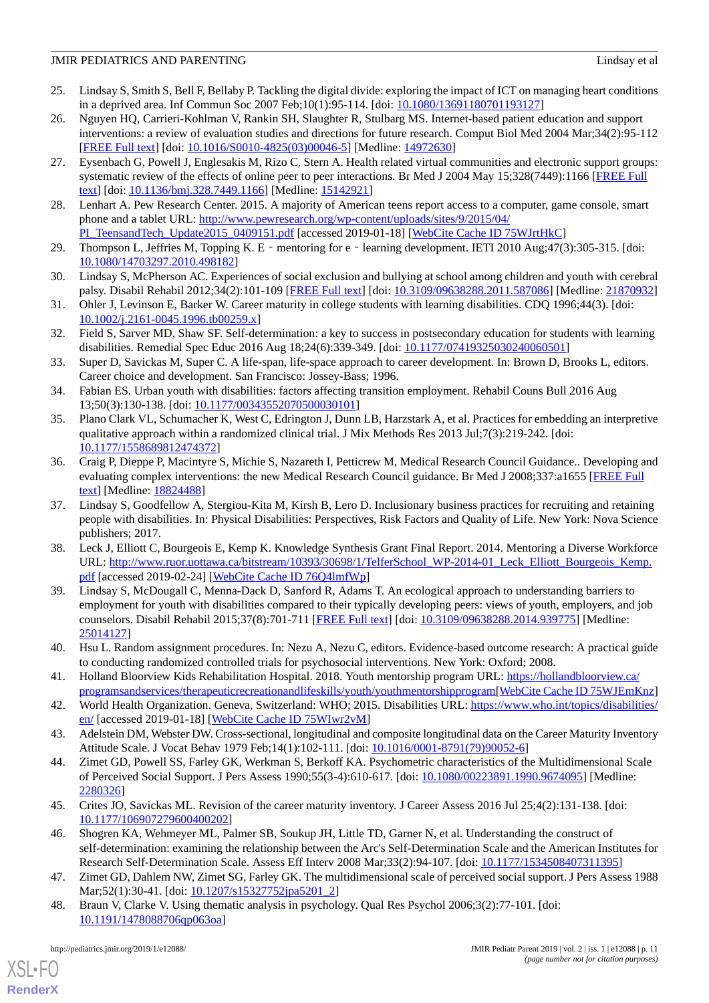- <span id="page-10-0"></span>25. Lindsay S, Smith S, Bell F, Bellaby P. Tackling the digital divide: exploring the impact of ICT on managing heart conditions in a deprived area. Inf Commun Soc 2007 Feb;10(1):95-114. [doi: [10.1080/13691180701193127\]](http://dx.doi.org/10.1080/13691180701193127)
- <span id="page-10-21"></span>26. Nguyen HQ, Carrieri-Kohlman V, Rankin SH, Slaughter R, Stulbarg MS. Internet-based patient education and support interventions: a review of evaluation studies and directions for future research. Comput Biol Med 2004 Mar;34(2):95-112 [[FREE Full text](https://doi.org/10.1016/S0010-4825(03)00046-5)] [doi: [10.1016/S0010-4825\(03\)00046-5\]](http://dx.doi.org/10.1016/S0010-4825(03)00046-5) [Medline: [14972630](http://www.ncbi.nlm.nih.gov/entrez/query.fcgi?cmd=Retrieve&db=PubMed&list_uids=14972630&dopt=Abstract)]
- <span id="page-10-1"></span>27. Eysenbach G, Powell J, Englesakis M, Rizo C, Stern A. Health related virtual communities and electronic support groups: systematic review of the effects of online peer to peer interactions. Br Med J 2004 May 15;328(7449):1166 [[FREE Full](http://europepmc.org/abstract/MED/15142921) [text](http://europepmc.org/abstract/MED/15142921)] [doi: [10.1136/bmj.328.7449.1166\]](http://dx.doi.org/10.1136/bmj.328.7449.1166) [Medline: [15142921\]](http://www.ncbi.nlm.nih.gov/entrez/query.fcgi?cmd=Retrieve&db=PubMed&list_uids=15142921&dopt=Abstract)
- <span id="page-10-3"></span><span id="page-10-2"></span>28. Lenhart A. Pew Research Center. 2015. A majority of American teens report access to a computer, game console, smart phone and a tablet URL: [http://www.pewresearch.org/wp-content/uploads/sites/9/2015/04/](http://www.pewresearch.org/wp-content/uploads/sites/9/2015/04/PI_TeensandTech_Update2015_0409151.pdf) [PI\\_TeensandTech\\_Update2015\\_0409151.pdf](http://www.pewresearch.org/wp-content/uploads/sites/9/2015/04/PI_TeensandTech_Update2015_0409151.pdf) [accessed 2019-01-18] [\[WebCite Cache ID 75WJrtHkC](http://www.webcitation.org/

                                75WJrtHkC)]
- <span id="page-10-4"></span>29. Thompson L, Jeffries M, Topping K. E - mentoring for e-learning development. IETI 2010 Aug;47(3):305-315. [doi: [10.1080/14703297.2010.498182\]](http://dx.doi.org/10.1080/14703297.2010.498182)
- <span id="page-10-5"></span>30. Lindsay S, McPherson AC. Experiences of social exclusion and bullying at school among children and youth with cerebral palsy. Disabil Rehabil 2012;34(2):101-109 [\[FREE Full text\]](https://doi.org/10.3109/09638288.2011.587086) [doi: [10.3109/09638288.2011.587086](http://dx.doi.org/10.3109/09638288.2011.587086)] [Medline: [21870932](http://www.ncbi.nlm.nih.gov/entrez/query.fcgi?cmd=Retrieve&db=PubMed&list_uids=21870932&dopt=Abstract)]
- <span id="page-10-23"></span>31. Ohler J, Levinson E, Barker W. Career maturity in college students with learning disabilities. CDQ 1996;44(3). [doi: [10.1002/j.2161-0045.1996.tb00259.x\]](http://dx.doi.org/10.1002/j.2161-0045.1996.tb00259.x)
- <span id="page-10-22"></span>32. Field S, Sarver MD, Shaw SF. Self-determination: a key to success in postsecondary education for students with learning disabilities. Remedial Spec Educ 2016 Aug 18;24(6):339-349. [doi: [10.1177/07419325030240060501](http://dx.doi.org/10.1177/07419325030240060501)]
- <span id="page-10-6"></span>33. Super D, Savickas M, Super C. A life-span, life-space approach to career development. In: Brown D, Brooks L, editors. Career choice and development. San Francisco: Jossey-Bass; 1996.
- <span id="page-10-7"></span>34. Fabian ES. Urban youth with disabilities: factors affecting transition employment. Rehabil Couns Bull 2016 Aug 13;50(3):130-138. [doi: [10.1177/00343552070500030101\]](http://dx.doi.org/10.1177/00343552070500030101)
- <span id="page-10-8"></span>35. Plano Clark VL, Schumacher K, West C, Edrington J, Dunn LB, Harzstark A, et al. Practices for embedding an interpretive qualitative approach within a randomized clinical trial. J Mix Methods Res 2013 Jul;7(3):219-242. [doi: [10.1177/1558689812474372\]](http://dx.doi.org/10.1177/1558689812474372)
- <span id="page-10-9"></span>36. Craig P, Dieppe P, Macintyre S, Michie S, Nazareth I, Petticrew M, Medical Research Council Guidance.. Developing and evaluating complex interventions: the new Medical Research Council guidance. Br Med J 2008;337:a1655 [\[FREE Full](http://europepmc.org/abstract/MED/18824488) [text](http://europepmc.org/abstract/MED/18824488)] [Medline: [18824488](http://www.ncbi.nlm.nih.gov/entrez/query.fcgi?cmd=Retrieve&db=PubMed&list_uids=18824488&dopt=Abstract)]
- <span id="page-10-10"></span>37. Lindsay S, Goodfellow A, Stergiou-Kita M, Kirsh B, Lero D. Inclusionary business practices for recruiting and retaining people with disabilities. In: Physical Disabilities: Perspectives, Risk Factors and Quality of Life. New York: Nova Science publishers; 2017.
- <span id="page-10-11"></span>38. Leck J, Elliott C, Bourgeois E, Kemp K. Knowledge Synthesis Grant Final Report. 2014. Mentoring a Diverse Workforce URL: [http://www.ruor.uottawa.ca/bitstream/10393/30698/1/TelferSchool\\_WP-2014-01\\_Leck\\_Elliott\\_Bourgeois\\_Kemp.](http://www.ruor.uottawa.ca/bitstream/10393/30698/1/TelferSchool_WP-2014-01_Leck_Elliott_Bourgeois_Kemp.pdf) [pdf](http://www.ruor.uottawa.ca/bitstream/10393/30698/1/TelferSchool_WP-2014-01_Leck_Elliott_Bourgeois_Kemp.pdf) [accessed 2019-02-24] [[WebCite Cache ID 76Q4lmfWp](http://www.webcitation.org/

                                76Q4lmfWp)]
- <span id="page-10-13"></span><span id="page-10-12"></span>39. Lindsay S, McDougall C, Menna-Dack D, Sanford R, Adams T. An ecological approach to understanding barriers to employment for youth with disabilities compared to their typically developing peers: views of youth, employers, and job counselors. Disabil Rehabil 2015;37(8):701-711 [[FREE Full text](https://doi.org/10.3109/09638288.2014.939775)] [doi: [10.3109/09638288.2014.939775\]](http://dx.doi.org/10.3109/09638288.2014.939775) [Medline: [25014127](http://www.ncbi.nlm.nih.gov/entrez/query.fcgi?cmd=Retrieve&db=PubMed&list_uids=25014127&dopt=Abstract)]
- <span id="page-10-15"></span><span id="page-10-14"></span>40. Hsu L. Random assignment procedures. In: Nezu A, Nezu C, editors. Evidence-based outcome research: A practical guide to conducting randomized controlled trials for psychosocial interventions. New York: Oxford; 2008.
- <span id="page-10-16"></span>41. Holland Bloorview Kids Rehabilitation Hospital. 2018. Youth mentorship program URL: [https://hollandbloorview.ca/](https://hollandbloorview.ca/programsandservices/therapeuticrecreationandlifeskills/youth/youthmentorshipprogram) [programsandservices/therapeuticrecreationandlifeskills/youth/youthmentorshipprogram](https://hollandbloorview.ca/programsandservices/therapeuticrecreationandlifeskills/youth/youthmentorshipprogram)[[WebCite Cache ID 75WJEmKnz\]](http://www.webcitation.org/

                                75WJEmKnz)
- 42. World Health Organization. Geneva, Switzerland: WHO; 2015. Disabilities URL: [https://www.who.int/topics/disabilities/](https://www.who.int/topics/disabilities/en/) [en/](https://www.who.int/topics/disabilities/en/) [accessed 2019-01-18] [[WebCite Cache ID 75WIwr2vM\]](http://www.webcitation.org/

                                75WIwr2vM)
- <span id="page-10-18"></span>43. Adelstein DM, Webster DW. Cross-sectional, longitudinal and composite longitudinal data on the Career Maturity Inventory Attitude Scale. J Vocat Behav 1979 Feb;14(1):102-111. [doi: [10.1016/0001-8791\(79\)90052-6\]](http://dx.doi.org/10.1016/0001-8791(79)90052-6)
- <span id="page-10-17"></span>44. Zimet GD, Powell SS, Farley GK, Werkman S, Berkoff KA. Psychometric characteristics of the Multidimensional Scale of Perceived Social Support. J Pers Assess 1990;55(3-4):610-617. [doi: [10.1080/00223891.1990.9674095](http://dx.doi.org/10.1080/00223891.1990.9674095)] [Medline: [2280326\]](http://www.ncbi.nlm.nih.gov/entrez/query.fcgi?cmd=Retrieve&db=PubMed&list_uids=2280326&dopt=Abstract)
- <span id="page-10-20"></span><span id="page-10-19"></span>45. Crites JO, Savickas ML. Revision of the career maturity inventory. J Career Assess 2016 Jul 25;4(2):131-138. [doi: [10.1177/106907279600400202\]](http://dx.doi.org/10.1177/106907279600400202)
- 46. Shogren KA, Wehmeyer ML, Palmer SB, Soukup JH, Little TD, Garner N, et al. Understanding the construct of self-determination: examining the relationship between the Arc's Self-Determination Scale and the American Institutes for Research Self-Determination Scale. Assess Eff Interv 2008 Mar;33(2):94-107. [doi: [10.1177/1534508407311395\]](http://dx.doi.org/10.1177/1534508407311395)
- 47. Zimet GD, Dahlem NW, Zimet SG, Farley GK. The multidimensional scale of perceived social support. J Pers Assess 1988 Mar;52(1):30-41. [doi: [10.1207/s15327752jpa5201\\_2\]](http://dx.doi.org/10.1207/s15327752jpa5201_2)
- 48. Braun V, Clarke V. Using thematic analysis in psychology. Qual Res Psychol 2006;3(2):77-101. [doi: [10.1191/1478088706qp063oa](http://dx.doi.org/10.1191/1478088706qp063oa)]

[XSL](http://www.w3.org/Style/XSL)•FO **[RenderX](http://www.renderx.com/)**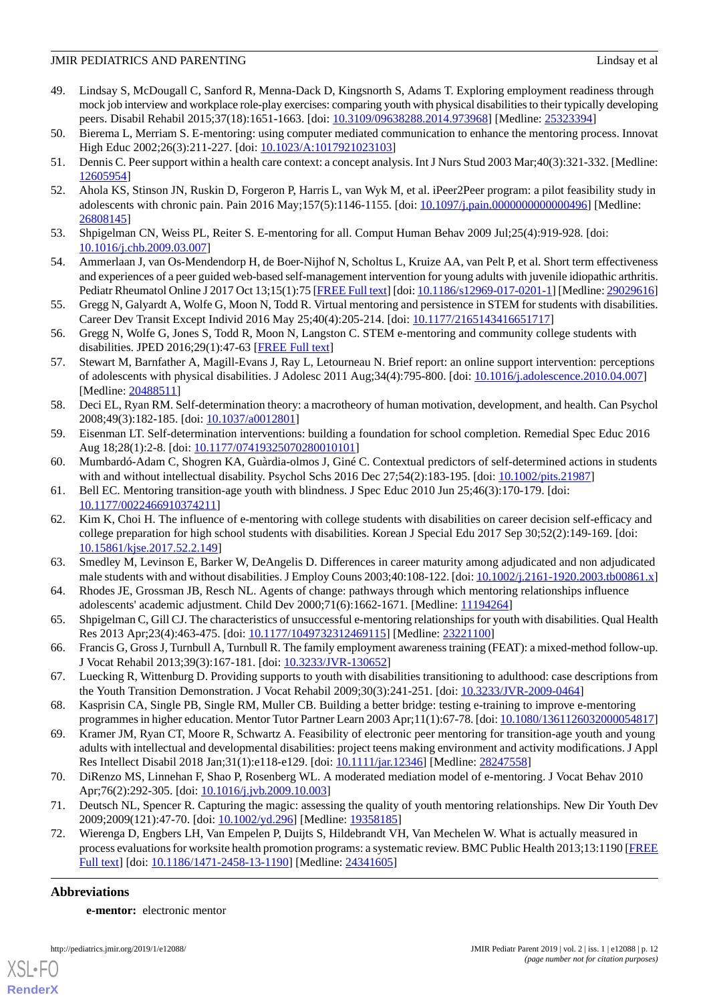- <span id="page-11-0"></span>49. Lindsay S, McDougall C, Sanford R, Menna-Dack D, Kingsnorth S, Adams T. Exploring employment readiness through mock job interview and workplace role-play exercises: comparing youth with physical disabilities to their typically developing peers. Disabil Rehabil 2015;37(18):1651-1663. [doi: [10.3109/09638288.2014.973968\]](http://dx.doi.org/10.3109/09638288.2014.973968) [Medline: [25323394\]](http://www.ncbi.nlm.nih.gov/entrez/query.fcgi?cmd=Retrieve&db=PubMed&list_uids=25323394&dopt=Abstract)
- <span id="page-11-2"></span><span id="page-11-1"></span>50. Bierema L, Merriam S. E-mentoring: using computer mediated communication to enhance the mentoring process. Innovat High Educ 2002;26(3):211-227. [doi: [10.1023/A:1017921023103](http://dx.doi.org/10.1023/A:1017921023103)]
- <span id="page-11-3"></span>51. Dennis C. Peer support within a health care context: a concept analysis. Int J Nurs Stud 2003 Mar;40(3):321-332. [Medline: [12605954](http://www.ncbi.nlm.nih.gov/entrez/query.fcgi?cmd=Retrieve&db=PubMed&list_uids=12605954&dopt=Abstract)]
- <span id="page-11-4"></span>52. Ahola KS, Stinson JN, Ruskin D, Forgeron P, Harris L, van Wyk M, et al. iPeer2Peer program: a pilot feasibility study in adolescents with chronic pain. Pain 2016 May;157(5):1146-1155. [doi: [10.1097/j.pain.0000000000000496](http://dx.doi.org/10.1097/j.pain.0000000000000496)] [Medline: [26808145](http://www.ncbi.nlm.nih.gov/entrez/query.fcgi?cmd=Retrieve&db=PubMed&list_uids=26808145&dopt=Abstract)]
- <span id="page-11-5"></span>53. Shpigelman CN, Weiss PL, Reiter S. E-mentoring for all. Comput Human Behav 2009 Jul;25(4):919-928. [doi: [10.1016/j.chb.2009.03.007\]](http://dx.doi.org/10.1016/j.chb.2009.03.007)
- <span id="page-11-6"></span>54. Ammerlaan J, van Os-Mendendorp H, de Boer-Nijhof N, Scholtus L, Kruize AA, van Pelt P, et al. Short term effectiveness and experiences of a peer guided web-based self-management intervention for young adults with juvenile idiopathic arthritis. Pediatr Rheumatol Online J 2017 Oct 13;15(1):75 [\[FREE Full text\]](https://ped-rheum.biomedcentral.com/articles/10.1186/s12969-017-0201-1) [doi: [10.1186/s12969-017-0201-1\]](http://dx.doi.org/10.1186/s12969-017-0201-1) [Medline: [29029616](http://www.ncbi.nlm.nih.gov/entrez/query.fcgi?cmd=Retrieve&db=PubMed&list_uids=29029616&dopt=Abstract)]
- <span id="page-11-7"></span>55. Gregg N, Galyardt A, Wolfe G, Moon N, Todd R. Virtual mentoring and persistence in STEM for students with disabilities. Career Dev Transit Except Individ 2016 May 25;40(4):205-214. [doi: [10.1177/2165143416651717](http://dx.doi.org/10.1177/2165143416651717)]
- <span id="page-11-8"></span>56. Gregg N, Wolfe G, Jones S, Todd R, Moon N, Langston C. STEM e-mentoring and community college students with disabilities. JPED 2016;29(1):47-63 [\[FREE Full text\]](https://eric.ed.gov/?id=EJ1107474)
- <span id="page-11-9"></span>57. Stewart M, Barnfather A, Magill-Evans J, Ray L, Letourneau N. Brief report: an online support intervention: perceptions of adolescents with physical disabilities. J Adolesc 2011 Aug;34(4):795-800. [doi: [10.1016/j.adolescence.2010.04.007](http://dx.doi.org/10.1016/j.adolescence.2010.04.007)] [Medline: [20488511](http://www.ncbi.nlm.nih.gov/entrez/query.fcgi?cmd=Retrieve&db=PubMed&list_uids=20488511&dopt=Abstract)]
- <span id="page-11-10"></span>58. Deci EL, Ryan RM. Self-determination theory: a macrotheory of human motivation, development, and health. Can Psychol 2008;49(3):182-185. [doi: [10.1037/a0012801](http://dx.doi.org/10.1037/a0012801)]
- <span id="page-11-11"></span>59. Eisenman LT. Self-determination interventions: building a foundation for school completion. Remedial Spec Educ 2016 Aug 18;28(1):2-8. [doi: [10.1177/07419325070280010101](http://dx.doi.org/10.1177/07419325070280010101)]
- <span id="page-11-12"></span>60. Mumbardó-Adam C, Shogren KA, Guàrdia-olmos J, Giné C. Contextual predictors of self-determined actions in students with and without intellectual disability. Psychol Schs 2016 Dec 27;54(2):183-195. [doi: [10.1002/pits.21987](http://dx.doi.org/10.1002/pits.21987)]
- 61. Bell EC. Mentoring transition-age youth with blindness. J Spec Educ 2010 Jun 25;46(3):170-179. [doi: [10.1177/0022466910374211\]](http://dx.doi.org/10.1177/0022466910374211)
- <span id="page-11-14"></span><span id="page-11-13"></span>62. Kim K, Choi H. The influence of e-mentoring with college students with disabilities on career decision self-efficacy and college preparation for high school students with disabilities. Korean J Special Edu 2017 Sep 30;52(2):149-169. [doi: [10.15861/kjse.2017.52.2.149\]](http://dx.doi.org/10.15861/kjse.2017.52.2.149)
- <span id="page-11-15"></span>63. Smedley M, Levinson E, Barker W, DeAngelis D. Differences in career maturity among adjudicated and non adjudicated male students with and without disabilities. J Employ Couns 2003;40:108-122. [doi: [10.1002/j.2161-1920.2003.tb00861.x](http://dx.doi.org/10.1002/j.2161-1920.2003.tb00861.x)]
- <span id="page-11-16"></span>64. Rhodes JE, Grossman JB, Resch NL. Agents of change: pathways through which mentoring relationships influence adolescents' academic adjustment. Child Dev 2000;71(6):1662-1671. [Medline: [11194264](http://www.ncbi.nlm.nih.gov/entrez/query.fcgi?cmd=Retrieve&db=PubMed&list_uids=11194264&dopt=Abstract)]
- <span id="page-11-17"></span>65. Shpigelman C, Gill CJ. The characteristics of unsuccessful e-mentoring relationships for youth with disabilities. Qual Health Res 2013 Apr;23(4):463-475. [doi: [10.1177/1049732312469115](http://dx.doi.org/10.1177/1049732312469115)] [Medline: [23221100](http://www.ncbi.nlm.nih.gov/entrez/query.fcgi?cmd=Retrieve&db=PubMed&list_uids=23221100&dopt=Abstract)]
- <span id="page-11-19"></span><span id="page-11-18"></span>66. Francis G, Gross J, Turnbull A, Turnbull R. The family employment awareness training (FEAT): a mixed-method follow-up. J Vocat Rehabil 2013;39(3):167-181. [doi: [10.3233/JVR-130652\]](http://dx.doi.org/10.3233/JVR-130652)
- 67. Luecking R, Wittenburg D. Providing supports to youth with disabilities transitioning to adulthood: case descriptions from the Youth Transition Demonstration. J Vocat Rehabil 2009;30(3):241-251. [doi: [10.3233/JVR-2009-0464](http://dx.doi.org/10.3233/JVR-2009-0464)]
- <span id="page-11-20"></span>68. Kasprisin CA, Single PB, Single RM, Muller CB. Building a better bridge: testing e-training to improve e-mentoring programmes in higher education. Mentor Tutor Partner Learn 2003 Apr;11(1):67-78. [doi: [10.1080/1361126032000054817](http://dx.doi.org/10.1080/1361126032000054817)]
- <span id="page-11-22"></span><span id="page-11-21"></span>69. Kramer JM, Ryan CT, Moore R, Schwartz A. Feasibility of electronic peer mentoring for transition-age youth and young adults with intellectual and developmental disabilities: project teens making environment and activity modifications. J Appl Res Intellect Disabil 2018 Jan;31(1):e118-e129. [doi: [10.1111/jar.12346](http://dx.doi.org/10.1111/jar.12346)] [Medline: [28247558\]](http://www.ncbi.nlm.nih.gov/entrez/query.fcgi?cmd=Retrieve&db=PubMed&list_uids=28247558&dopt=Abstract)
- 70. DiRenzo MS, Linnehan F, Shao P, Rosenberg WL. A moderated mediation model of e-mentoring. J Vocat Behav 2010 Apr;76(2):292-305. [doi: [10.1016/j.jvb.2009.10.003](http://dx.doi.org/10.1016/j.jvb.2009.10.003)]
- 71. Deutsch NL, Spencer R. Capturing the magic: assessing the quality of youth mentoring relationships. New Dir Youth Dev 2009;2009(121):47-70. [doi: [10.1002/yd.296](http://dx.doi.org/10.1002/yd.296)] [Medline: [19358185](http://www.ncbi.nlm.nih.gov/entrez/query.fcgi?cmd=Retrieve&db=PubMed&list_uids=19358185&dopt=Abstract)]
- 72. Wierenga D, Engbers LH, Van Empelen P, Duijts S, Hildebrandt VH, Van Mechelen W. What is actually measured in process evaluations for worksite health promotion programs: a systematic review. BMC Public Health 2013;13:1190 [\[FREE](http://www.biomedcentral.com/1471-2458/13/1190) [Full text\]](http://www.biomedcentral.com/1471-2458/13/1190) [doi: [10.1186/1471-2458-13-1190](http://dx.doi.org/10.1186/1471-2458-13-1190)] [Medline: [24341605](http://www.ncbi.nlm.nih.gov/entrez/query.fcgi?cmd=Retrieve&db=PubMed&list_uids=24341605&dopt=Abstract)]

# **Abbreviations**

**e-mentor:** electronic mentor



**[RenderX](http://www.renderx.com/)**